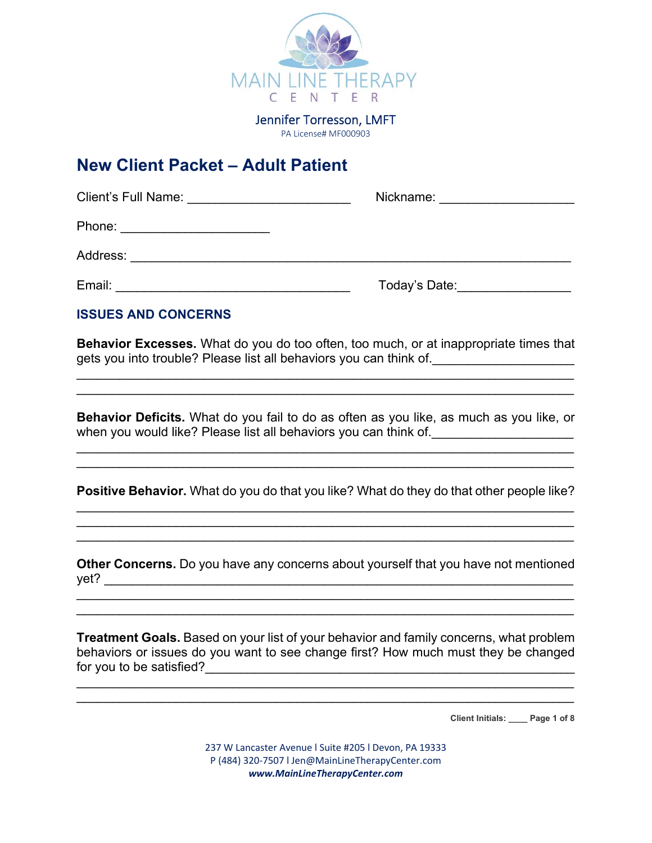

Jennifer Torresson, LMFT PA License# MF000903

# **New Client Packet – Adult Patient**

| <b>Client's Full Name:</b>                                                                                                     | Nickname:     |  |
|--------------------------------------------------------------------------------------------------------------------------------|---------------|--|
| Phone:<br><u> 1980 - Jan Stein Stein Stein Stein Stein Stein Stein Stein Stein Stein Stein Stein Stein Stein Stein Stein S</u> |               |  |
| Address:                                                                                                                       |               |  |
| Email:                                                                                                                         | Today's Date: |  |

# **ISSUES AND CONCERNS**

**Behavior Excesses.** What do you do too often, too much, or at inappropriate times that gets you into trouble? Please list all behaviors you can think of.\_\_\_\_\_\_\_\_\_\_\_\_\_\_\_\_\_\_\_\_

\_\_\_\_\_\_\_\_\_\_\_\_\_\_\_\_\_\_\_\_\_\_\_\_\_\_\_\_\_\_\_\_\_\_\_\_\_\_\_\_\_\_\_\_\_\_\_\_\_\_\_\_\_\_\_\_\_\_\_\_\_\_\_\_\_\_\_\_\_\_

 $\mathcal{L} = \{ \mathcal{L} = \{ \mathcal{L} = \{ \mathcal{L} = \{ \mathcal{L} = \{ \mathcal{L} = \{ \mathcal{L} = \{ \mathcal{L} = \{ \mathcal{L} = \{ \mathcal{L} = \{ \mathcal{L} = \{ \mathcal{L} = \{ \mathcal{L} = \{ \mathcal{L} = \{ \mathcal{L} = \{ \mathcal{L} = \{ \mathcal{L} = \{ \mathcal{L} = \{ \mathcal{L} = \{ \mathcal{L} = \{ \mathcal{L} = \{ \mathcal{L} = \{ \mathcal{L} = \{ \mathcal{L} = \{ \mathcal{$ 

**Behavior Deficits.** What do you fail to do as often as you like, as much as you like, or when you would like? Please list all behaviors you can think of. \_\_\_\_\_\_\_\_\_\_\_\_\_\_\_\_

\_\_\_\_\_\_\_\_\_\_\_\_\_\_\_\_\_\_\_\_\_\_\_\_\_\_\_\_\_\_\_\_\_\_\_\_\_\_\_\_\_\_\_\_\_\_\_\_\_\_\_\_\_\_\_\_\_\_\_\_\_\_\_\_\_\_\_\_\_\_

 $\mathcal{L}_\mathcal{L} = \{ \mathcal{L}_\mathcal{L} = \{ \mathcal{L}_\mathcal{L} = \{ \mathcal{L}_\mathcal{L} = \{ \mathcal{L}_\mathcal{L} = \{ \mathcal{L}_\mathcal{L} = \{ \mathcal{L}_\mathcal{L} = \{ \mathcal{L}_\mathcal{L} = \{ \mathcal{L}_\mathcal{L} = \{ \mathcal{L}_\mathcal{L} = \{ \mathcal{L}_\mathcal{L} = \{ \mathcal{L}_\mathcal{L} = \{ \mathcal{L}_\mathcal{L} = \{ \mathcal{L}_\mathcal{L} = \{ \mathcal{L}_\mathcal{$ 

**Positive Behavior.** What do you do that you like? What do they do that other people like? \_\_\_\_\_\_\_\_\_\_\_\_\_\_\_\_\_\_\_\_\_\_\_\_\_\_\_\_\_\_\_\_\_\_\_\_\_\_\_\_\_\_\_\_\_\_\_\_\_\_\_\_\_\_\_\_\_\_\_\_\_\_\_\_\_\_\_\_\_\_

\_\_\_\_\_\_\_\_\_\_\_\_\_\_\_\_\_\_\_\_\_\_\_\_\_\_\_\_\_\_\_\_\_\_\_\_\_\_\_\_\_\_\_\_\_\_\_\_\_\_\_\_\_\_\_\_\_\_\_\_\_\_\_\_\_\_\_\_\_\_  $\mathcal{L}_\mathcal{L} = \mathcal{L}_\mathcal{L} = \mathcal{L}_\mathcal{L} = \mathcal{L}_\mathcal{L} = \mathcal{L}_\mathcal{L} = \mathcal{L}_\mathcal{L} = \mathcal{L}_\mathcal{L} = \mathcal{L}_\mathcal{L} = \mathcal{L}_\mathcal{L} = \mathcal{L}_\mathcal{L} = \mathcal{L}_\mathcal{L} = \mathcal{L}_\mathcal{L} = \mathcal{L}_\mathcal{L} = \mathcal{L}_\mathcal{L} = \mathcal{L}_\mathcal{L} = \mathcal{L}_\mathcal{L} = \mathcal{L}_\mathcal{L}$ 

 $\mathcal{L}_\mathcal{L} = \mathcal{L}_\mathcal{L} = \mathcal{L}_\mathcal{L} = \mathcal{L}_\mathcal{L} = \mathcal{L}_\mathcal{L} = \mathcal{L}_\mathcal{L} = \mathcal{L}_\mathcal{L} = \mathcal{L}_\mathcal{L} = \mathcal{L}_\mathcal{L} = \mathcal{L}_\mathcal{L} = \mathcal{L}_\mathcal{L} = \mathcal{L}_\mathcal{L} = \mathcal{L}_\mathcal{L} = \mathcal{L}_\mathcal{L} = \mathcal{L}_\mathcal{L} = \mathcal{L}_\mathcal{L} = \mathcal{L}_\mathcal{L}$ 

**Other Concerns.** Do you have any concerns about yourself that you have not mentioned  $yet?$ 

 $\mathcal{L}_\mathcal{L} = \mathcal{L}_\mathcal{L} = \mathcal{L}_\mathcal{L} = \mathcal{L}_\mathcal{L} = \mathcal{L}_\mathcal{L} = \mathcal{L}_\mathcal{L} = \mathcal{L}_\mathcal{L} = \mathcal{L}_\mathcal{L} = \mathcal{L}_\mathcal{L} = \mathcal{L}_\mathcal{L} = \mathcal{L}_\mathcal{L} = \mathcal{L}_\mathcal{L} = \mathcal{L}_\mathcal{L} = \mathcal{L}_\mathcal{L} = \mathcal{L}_\mathcal{L} = \mathcal{L}_\mathcal{L} = \mathcal{L}_\mathcal{L}$ 

**Treatment Goals.** Based on your list of your behavior and family concerns, what problem behaviors or issues do you want to see change first? How much must they be changed for you to be satisfied?<br>

 $\mathcal{L}_\mathcal{L} = \{ \mathcal{L}_\mathcal{L} = \{ \mathcal{L}_\mathcal{L} = \{ \mathcal{L}_\mathcal{L} = \{ \mathcal{L}_\mathcal{L} = \{ \mathcal{L}_\mathcal{L} = \{ \mathcal{L}_\mathcal{L} = \{ \mathcal{L}_\mathcal{L} = \{ \mathcal{L}_\mathcal{L} = \{ \mathcal{L}_\mathcal{L} = \{ \mathcal{L}_\mathcal{L} = \{ \mathcal{L}_\mathcal{L} = \{ \mathcal{L}_\mathcal{L} = \{ \mathcal{L}_\mathcal{L} = \{ \mathcal{L}_\mathcal{$ 

**Client Initials: \_\_\_\_ Page 1 of 8** 

237 W Lancaster Avenue l Suite #205 l Devon, PA 19333 P (484) 320‐7507 l Jen@MainLineTherapyCenter.com *www.MainLineTherapyCenter.com*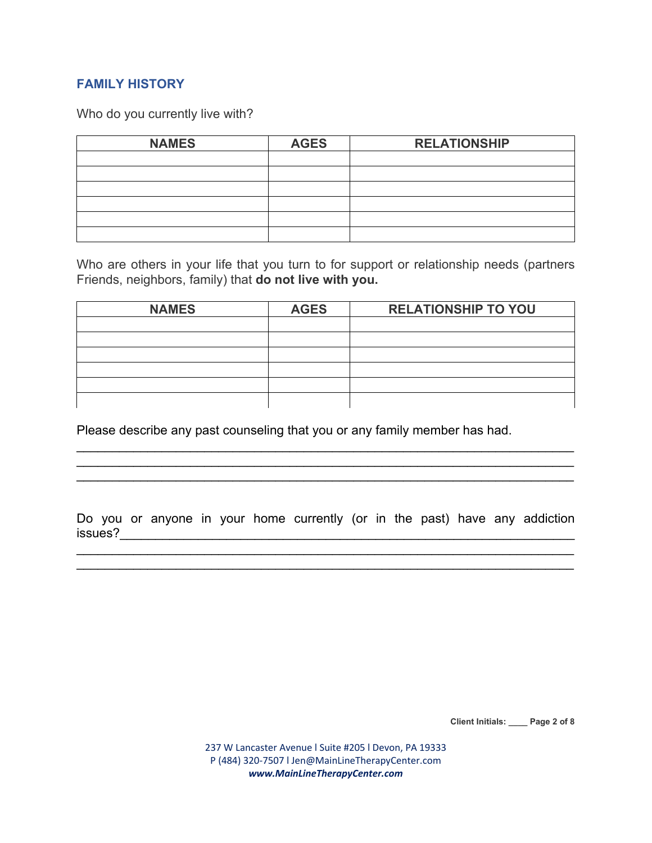# **FAMILY HISTORY**

Who do you currently live with?

| <b>NAMES</b> | <b>AGES</b> | <b>RELATIONSHIP</b> |  |
|--------------|-------------|---------------------|--|
|              |             |                     |  |
|              |             |                     |  |
|              |             |                     |  |
|              |             |                     |  |
|              |             |                     |  |
|              |             |                     |  |

Who are others in your life that you turn to for support or relationship needs (partners Friends, neighbors, family) that **do not live with you.**

| <b>NAMES</b> | <b>AGES</b> | <b>RELATIONSHIP TO YOU</b> |  |
|--------------|-------------|----------------------------|--|
|              |             |                            |  |
|              |             |                            |  |
|              |             |                            |  |
|              |             |                            |  |
|              |             |                            |  |
|              |             |                            |  |

Please describe any past counseling that you or any family member has had.

Do you or anyone in your home currently (or in the past) have any addiction issues?\_\_\_\_\_\_\_\_\_\_\_\_\_\_\_\_\_\_\_\_\_\_\_\_\_\_\_\_\_\_\_\_\_\_\_\_\_\_\_\_\_\_\_\_\_\_\_\_\_\_\_\_\_\_\_\_\_\_\_\_\_\_\_\_

\_\_\_\_\_\_\_\_\_\_\_\_\_\_\_\_\_\_\_\_\_\_\_\_\_\_\_\_\_\_\_\_\_\_\_\_\_\_\_\_\_\_\_\_\_\_\_\_\_\_\_\_\_\_\_\_\_\_\_\_\_\_\_\_\_\_\_\_\_\_

 $\mathcal{L}_\mathcal{L} = \mathcal{L}_\mathcal{L} = \mathcal{L}_\mathcal{L} = \mathcal{L}_\mathcal{L} = \mathcal{L}_\mathcal{L} = \mathcal{L}_\mathcal{L} = \mathcal{L}_\mathcal{L} = \mathcal{L}_\mathcal{L} = \mathcal{L}_\mathcal{L} = \mathcal{L}_\mathcal{L} = \mathcal{L}_\mathcal{L} = \mathcal{L}_\mathcal{L} = \mathcal{L}_\mathcal{L} = \mathcal{L}_\mathcal{L} = \mathcal{L}_\mathcal{L} = \mathcal{L}_\mathcal{L} = \mathcal{L}_\mathcal{L}$ \_\_\_\_\_\_\_\_\_\_\_\_\_\_\_\_\_\_\_\_\_\_\_\_\_\_\_\_\_\_\_\_\_\_\_\_\_\_\_\_\_\_\_\_\_\_\_\_\_\_\_\_\_\_\_\_\_\_\_\_\_\_\_\_\_\_\_\_\_\_ \_\_\_\_\_\_\_\_\_\_\_\_\_\_\_\_\_\_\_\_\_\_\_\_\_\_\_\_\_\_\_\_\_\_\_\_\_\_\_\_\_\_\_\_\_\_\_\_\_\_\_\_\_\_\_\_\_\_\_\_\_\_\_\_\_\_\_\_\_\_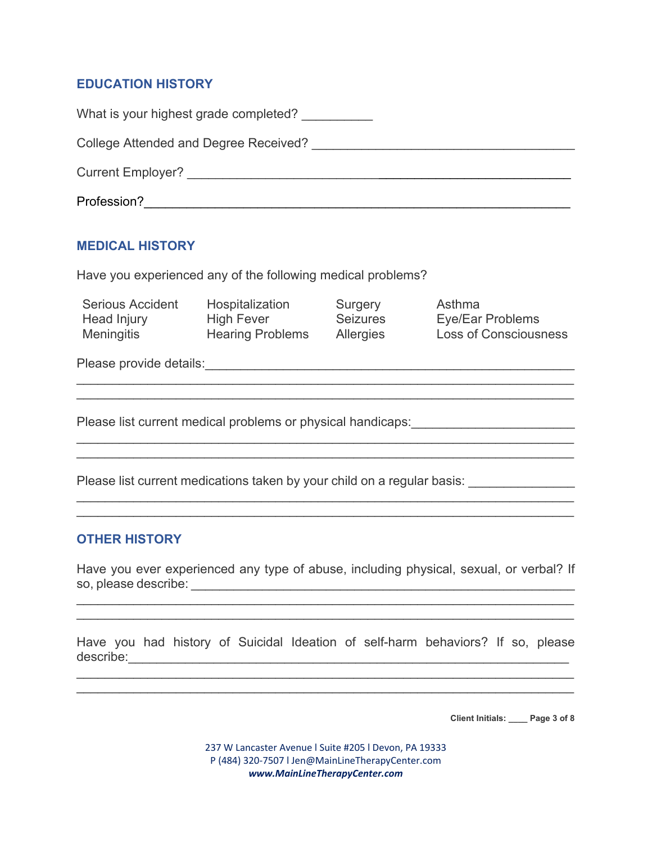# **EDUCATION HISTORY**

| What is your highest grade completed? |
|---------------------------------------|
| College Attended and Degree Received? |
| <b>Current Employer?</b>              |
| Profession?                           |

# **MEDICAL HISTORY**

Have you experienced any of the following medical problems?

| <b>Serious Accident</b> | Hospitalization         | Surgery          | Asthma                       |
|-------------------------|-------------------------|------------------|------------------------------|
| Head Injury             | <b>High Fever</b>       | <b>Seizures</b>  | Eye/Ear Problems             |
| Meningitis              | <b>Hearing Problems</b> | <b>Allergies</b> | <b>Loss of Consciousness</b> |

 $\overline{\phantom{a}}$  , and the contribution of the contribution of the contribution of the contribution of the contribution of the contribution of the contribution of the contribution of the contribution of the contribution of the  $\mathcal{L}_\mathcal{L} = \mathcal{L}_\mathcal{L} = \mathcal{L}_\mathcal{L} = \mathcal{L}_\mathcal{L} = \mathcal{L}_\mathcal{L} = \mathcal{L}_\mathcal{L} = \mathcal{L}_\mathcal{L} = \mathcal{L}_\mathcal{L} = \mathcal{L}_\mathcal{L} = \mathcal{L}_\mathcal{L} = \mathcal{L}_\mathcal{L} = \mathcal{L}_\mathcal{L} = \mathcal{L}_\mathcal{L} = \mathcal{L}_\mathcal{L} = \mathcal{L}_\mathcal{L} = \mathcal{L}_\mathcal{L} = \mathcal{L}_\mathcal{L}$ 

 $\overline{\phantom{a}}$  , and the contribution of the contribution of the contribution of the contribution of the contribution of the contribution of the contribution of the contribution of the contribution of the contribution of the

Please provide details:\_\_\_\_\_\_\_\_\_\_\_\_\_\_\_\_\_\_\_\_\_\_\_\_\_\_\_\_\_\_\_\_\_\_\_\_\_\_\_\_\_\_\_\_\_\_\_\_\_\_\_\_

Please list current medical problems or physical handicaps:

Please list current medications taken by your child on a regular basis: \_\_\_\_\_\_\_\_\_\_

# **OTHER HISTORY**

Have you ever experienced any type of abuse, including physical, sexual, or verbal? If so, please describe: \_\_\_\_\_\_\_\_\_\_\_\_\_\_\_\_\_\_\_\_\_\_\_\_\_\_\_\_\_\_\_\_\_\_\_\_\_\_\_\_\_\_\_\_\_\_\_\_\_\_\_\_\_\_

 $\mathcal{L}_\mathcal{L} = \mathcal{L}_\mathcal{L} = \mathcal{L}_\mathcal{L} = \mathcal{L}_\mathcal{L} = \mathcal{L}_\mathcal{L} = \mathcal{L}_\mathcal{L} = \mathcal{L}_\mathcal{L} = \mathcal{L}_\mathcal{L} = \mathcal{L}_\mathcal{L} = \mathcal{L}_\mathcal{L} = \mathcal{L}_\mathcal{L} = \mathcal{L}_\mathcal{L} = \mathcal{L}_\mathcal{L} = \mathcal{L}_\mathcal{L} = \mathcal{L}_\mathcal{L} = \mathcal{L}_\mathcal{L} = \mathcal{L}_\mathcal{L}$ 

Have you had history of Suicidal Ideation of self-harm behaviors? If so, please describe:\_\_\_\_\_\_\_\_\_\_\_\_\_\_\_\_\_\_\_\_\_\_\_\_\_\_\_\_\_\_\_\_\_\_\_\_\_\_\_\_\_\_\_\_\_\_\_\_\_\_\_\_\_\_\_\_\_\_\_\_\_\_

 $\mathcal{L}_\mathcal{L} = \mathcal{L}_\mathcal{L} = \mathcal{L}_\mathcal{L} = \mathcal{L}_\mathcal{L} = \mathcal{L}_\mathcal{L} = \mathcal{L}_\mathcal{L} = \mathcal{L}_\mathcal{L} = \mathcal{L}_\mathcal{L} = \mathcal{L}_\mathcal{L} = \mathcal{L}_\mathcal{L} = \mathcal{L}_\mathcal{L} = \mathcal{L}_\mathcal{L} = \mathcal{L}_\mathcal{L} = \mathcal{L}_\mathcal{L} = \mathcal{L}_\mathcal{L} = \mathcal{L}_\mathcal{L} = \mathcal{L}_\mathcal{L}$ 

**Client Initials: \_\_\_\_ Page 3 of 8** 

237 W Lancaster Avenue l Suite #205 l Devon, PA 19333 P (484) 320‐7507 l Jen@MainLineTherapyCenter.com *www.MainLineTherapyCenter.com*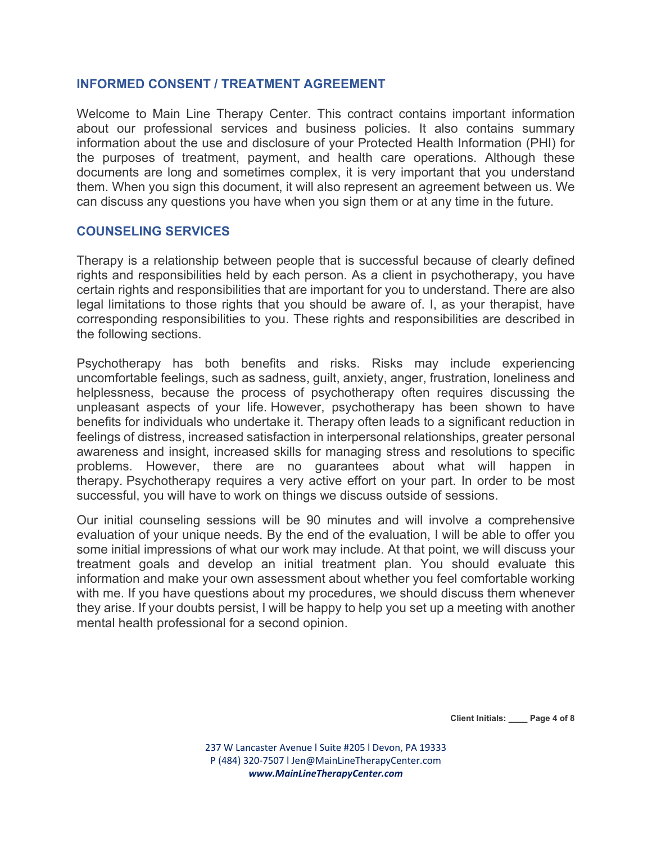#### **INFORMED CONSENT / TREATMENT AGREEMENT**

Welcome to Main Line Therapy Center. This contract contains important information about our professional services and business policies. It also contains summary information about the use and disclosure of your Protected Health Information (PHI) for the purposes of treatment, payment, and health care operations. Although these documents are long and sometimes complex, it is very important that you understand them. When you sign this document, it will also represent an agreement between us. We can discuss any questions you have when you sign them or at any time in the future.

#### **COUNSELING SERVICES**

Therapy is a relationship between people that is successful because of clearly defined rights and responsibilities held by each person. As a client in psychotherapy, you have certain rights and responsibilities that are important for you to understand. There are also legal limitations to those rights that you should be aware of. I, as your therapist, have corresponding responsibilities to you. These rights and responsibilities are described in the following sections.

Psychotherapy has both benefits and risks. Risks may include experiencing uncomfortable feelings, such as sadness, guilt, anxiety, anger, frustration, loneliness and helplessness, because the process of psychotherapy often requires discussing the unpleasant aspects of your life. However, psychotherapy has been shown to have benefits for individuals who undertake it. Therapy often leads to a significant reduction in feelings of distress, increased satisfaction in interpersonal relationships, greater personal awareness and insight, increased skills for managing stress and resolutions to specific problems. However, there are no guarantees about what will happen in therapy. Psychotherapy requires a very active effort on your part. In order to be most successful, you will have to work on things we discuss outside of sessions.

Our initial counseling sessions will be 90 minutes and will involve a comprehensive evaluation of your unique needs. By the end of the evaluation, I will be able to offer you some initial impressions of what our work may include. At that point, we will discuss your treatment goals and develop an initial treatment plan. You should evaluate this information and make your own assessment about whether you feel comfortable working with me. If you have questions about my procedures, we should discuss them whenever they arise. If your doubts persist, I will be happy to help you set up a meeting with another mental health professional for a second opinion.

**Client Initials: \_\_\_\_ Page 4 of 8**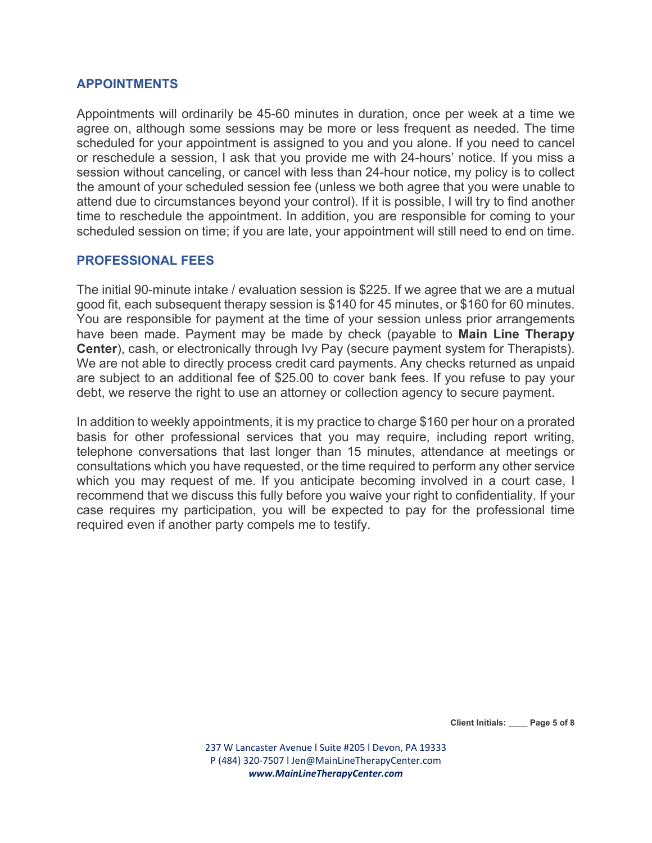#### **APPOINTMENTS**

Appointments will ordinarily be 45-60 minutes in duration, once per week at a time we agree on, although some sessions may be more or less frequent as needed. The time scheduled for your appointment is assigned to you and you alone. If you need to cancel or reschedule a session, I ask that you provide me with 24-hours' notice. If you miss a session without canceling, or cancel with less than 24-hour notice, my policy is to collect the amount of your scheduled session fee (unless we both agree that you were unable to attend due to circumstances beyond your control). If it is possible, I will try to find another time to reschedule the appointment. In addition, you are responsible for coming to your scheduled session on time; if you are late, your appointment will still need to end on time.

#### **PROFESSIONAL FEES**

The initial 90-minute intake / evaluation session is \$225. If we agree that we are a mutual good fit, each subsequent therapy session is \$140 for 45 minutes, or \$160 for 60 minutes. You are responsible for payment at the time of your session unless prior arrangements have been made. Payment may be made by check (payable to **Main Line Therapy Center**), cash, or electronically through Ivy Pay (secure payment system for Therapists). We are not able to directly process credit card payments. Any checks returned as unpaid are subject to an additional fee of \$25.00 to cover bank fees. If you refuse to pay your debt, we reserve the right to use an attorney or collection agency to secure payment.

In addition to weekly appointments, it is my practice to charge \$160 per hour on a prorated basis for other professional services that you may require, including report writing, telephone conversations that last longer than 15 minutes, attendance at meetings or consultations which you have requested, or the time required to perform any other service which you may request of me. If you anticipate becoming involved in a court case. I recommend that we discuss this fully before you waive your right to confidentiality. If your case requires my participation, you will be expected to pay for the professional time required even if another party compels me to testify.

**Client Initials: \_\_\_\_ Page 5 of 8**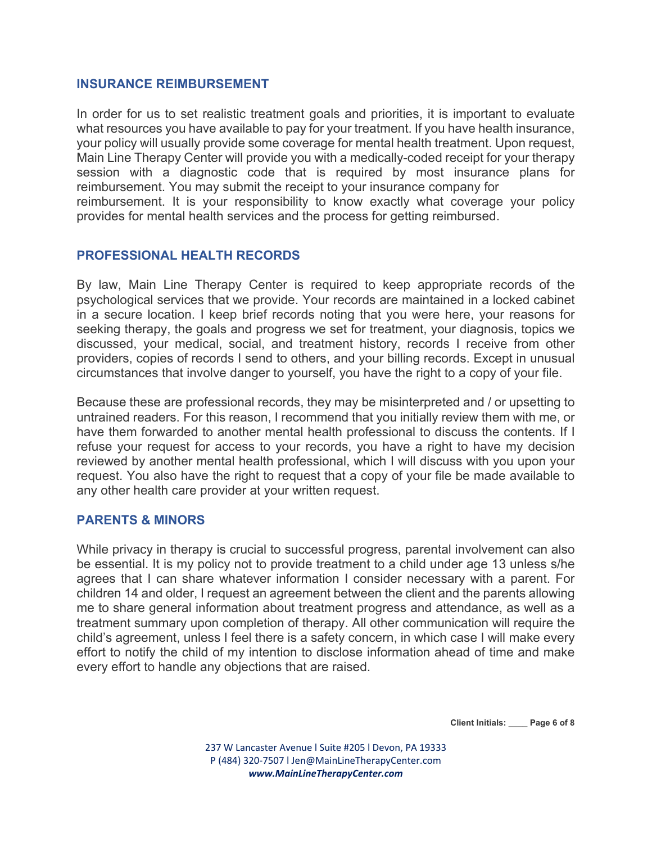#### **INSURANCE REIMBURSEMENT**

In order for us to set realistic treatment goals and priorities, it is important to evaluate what resources you have available to pay for your treatment. If you have health insurance, your policy will usually provide some coverage for mental health treatment. Upon request, Main Line Therapy Center will provide you with a medically-coded receipt for your therapy session with a diagnostic code that is required by most insurance plans for reimbursement. You may submit the receipt to your insurance company for reimbursement. It is your responsibility to know exactly what coverage your policy provides for mental health services and the process for getting reimbursed.

# **PROFESSIONAL HEALTH RECORDS**

By law, Main Line Therapy Center is required to keep appropriate records of the psychological services that we provide. Your records are maintained in a locked cabinet in a secure location. I keep brief records noting that you were here, your reasons for seeking therapy, the goals and progress we set for treatment, your diagnosis, topics we discussed, your medical, social, and treatment history, records I receive from other providers, copies of records I send to others, and your billing records. Except in unusual circumstances that involve danger to yourself, you have the right to a copy of your file.

Because these are professional records, they may be misinterpreted and / or upsetting to untrained readers. For this reason, I recommend that you initially review them with me, or have them forwarded to another mental health professional to discuss the contents. If I refuse your request for access to your records, you have a right to have my decision reviewed by another mental health professional, which I will discuss with you upon your request. You also have the right to request that a copy of your file be made available to any other health care provider at your written request.

# **PARENTS & MINORS**

While privacy in therapy is crucial to successful progress, parental involvement can also be essential. It is my policy not to provide treatment to a child under age 13 unless s/he agrees that I can share whatever information I consider necessary with a parent. For children 14 and older, I request an agreement between the client and the parents allowing me to share general information about treatment progress and attendance, as well as a treatment summary upon completion of therapy. All other communication will require the child's agreement, unless I feel there is a safety concern, in which case I will make every effort to notify the child of my intention to disclose information ahead of time and make every effort to handle any objections that are raised.

**Client Initials: \_\_\_\_ Page 6 of 8** 

237 W Lancaster Avenue l Suite #205 l Devon, PA 19333 P (484) 320‐7507 l Jen@MainLineTherapyCenter.com *www.MainLineTherapyCenter.com*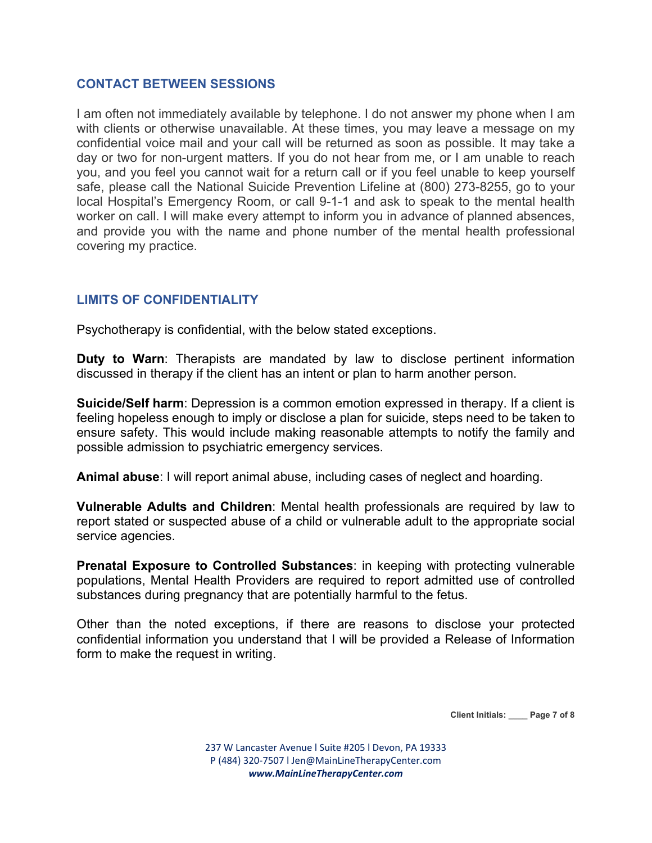### **CONTACT BETWEEN SESSIONS**

I am often not immediately available by telephone. I do not answer my phone when I am with clients or otherwise unavailable. At these times, you may leave a message on my confidential voice mail and your call will be returned as soon as possible. It may take a day or two for non-urgent matters. If you do not hear from me, or I am unable to reach you, and you feel you cannot wait for a return call or if you feel unable to keep yourself safe, please call the National Suicide Prevention Lifeline at (800) 273-8255, go to your local Hospital's Emergency Room, or call 9-1-1 and ask to speak to the mental health worker on call. I will make every attempt to inform you in advance of planned absences, and provide you with the name and phone number of the mental health professional covering my practice.

# **LIMITS OF CONFIDENTIALITY**

Psychotherapy is confidential, with the below stated exceptions.

**Duty to Warn**: Therapists are mandated by law to disclose pertinent information discussed in therapy if the client has an intent or plan to harm another person.

**Suicide/Self harm**: Depression is a common emotion expressed in therapy. If a client is feeling hopeless enough to imply or disclose a plan for suicide, steps need to be taken to ensure safety. This would include making reasonable attempts to notify the family and possible admission to psychiatric emergency services.

**Animal abuse**: I will report animal abuse, including cases of neglect and hoarding.

**Vulnerable Adults and Children**: Mental health professionals are required by law to report stated or suspected abuse of a child or vulnerable adult to the appropriate social service agencies.

**Prenatal Exposure to Controlled Substances**: in keeping with protecting vulnerable populations, Mental Health Providers are required to report admitted use of controlled substances during pregnancy that are potentially harmful to the fetus.

Other than the noted exceptions, if there are reasons to disclose your protected confidential information you understand that I will be provided a Release of Information form to make the request in writing.

**Client Initials: \_\_\_\_ Page 7 of 8**